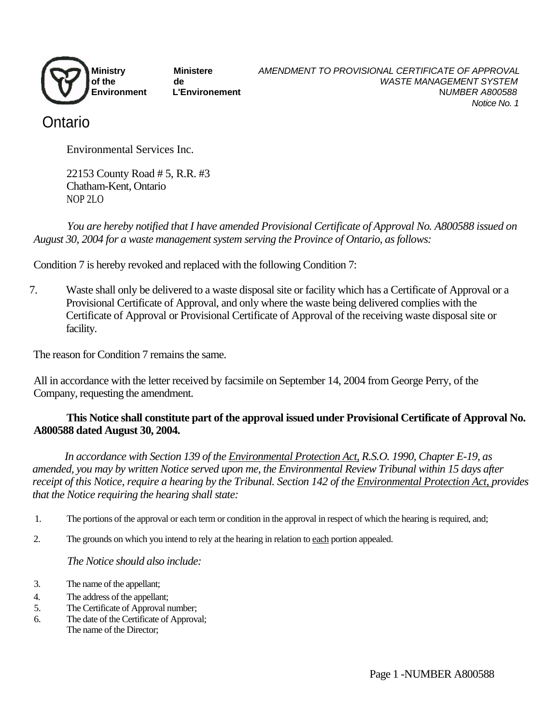

# Ontario

Environmental Services Inc.

22153 County Road # 5, R.R. #3 Chatham-Kent, Ontario NOP 2LO

*You are hereby notified that I have amended Provisional Certificate of Approval No. A800588 issued on August 30, 2004 for a waste management system serving the Province of Ontario, as follows:*

Condition 7 is hereby revoked and replaced with the following Condition 7:

7. Waste shall only be delivered to a waste disposal site or facility which has a Certificate of Approval or a Provisional Certificate of Approval, and only where the waste being delivered complies with the Certificate of Approval or Provisional Certificate of Approval of the receiving waste disposal site or facility.

The reason for Condition 7 remains the same.

All in accordance with the letter received by facsimile on September 14, 2004 from George Perry, of the Company, requesting the amendment.

## **This Notice shall constitute part of the approval issued under Provisional Certificate of Approval No. A800588 dated August 30, 2004.**

*In accordance with Section 139 of the Environmental Protection Act, R.S.O. 1990, Chapter E-19, as amended, you may by written Notice served upon me, the Environmental Review Tribunal within 15 days after receipt of this Notice, require a hearing by the Tribunal. Section 142 of the Environmental Protection Act, provides that the Notice requiring the hearing shall state:*

- 1. The portions of the approval or each term or condition in the approval in respect of which the hearing is required, and;
- 2. The grounds on which you intend to rely at the hearing in relation to each portion appealed.

## *The Notice should also include:*

- 3. The name of the appellant;
- 4. The address of the appellant;
- 5. The Certificate of Approval number;
- 6. The date of the Certificate of Approval; The name of the Director;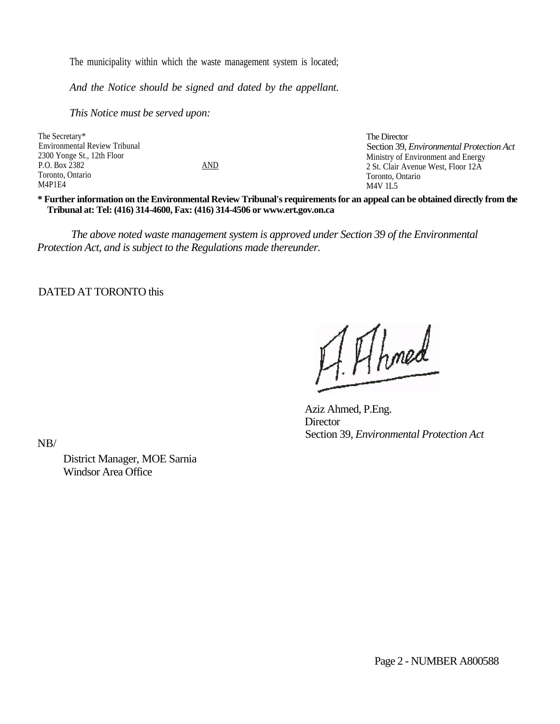The municipality within which the waste management system is located;

*And the Notice should be signed and dated by the appellant.* 

*This Notice must be served upon:*

The Secretary\* Environmental Review Tribunal 2300 Yonge St., 12th Floor P.O. Box 2382 AND Toronto, Ontario M4P1E4

The Director Section 39, *Environmental Protection Act* Ministry of Environment and Energy 2 St. Clair Avenue West, Floor 12A Toronto, Ontario M4V 1L5

**\* Further information on the Environmental Review Tribunal's requirements for an appeal can be obtained directly from the Tribunal at: Tel: (416) 314-4600, Fax: (416) 314-4506 or www.ert.gov.on.ca**

*The above noted waste management system is approved under Section 39 of the Environmental Protection Act, and is subject to the Regulations made thereunder.*

DATED AT TORONTO this

AAhmed

Aziz Ahmed, P.Eng. **Director** Section 39, *Environmental Protection Act*

NB/

District Manager, MOE Sarnia Windsor Area Office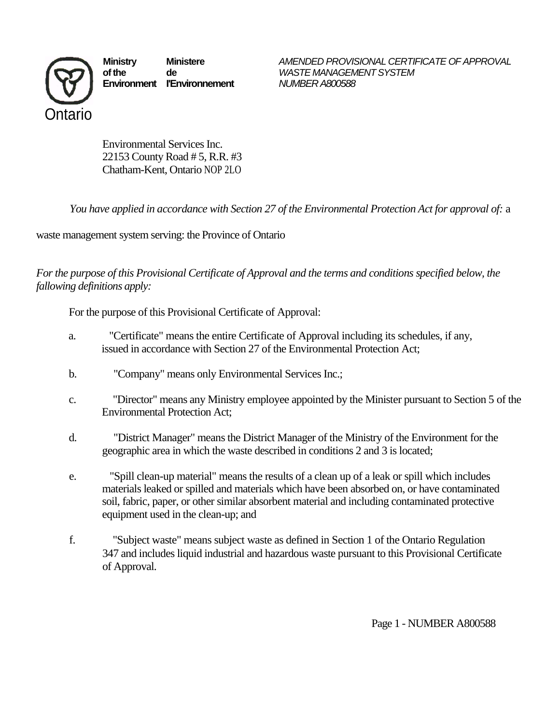

**Environment I'Environnement** *NUMBER A800588*

**Ministry Ministere** *AMENDED PROVISIONAL CERTIFICATE OF APPROVAL* **of the de** *WASTE MANAGEMENT SYSTEM*

Environmental Services Inc. 22153 County Road # 5, R.R. #3 Chatham-Kent, Ontario NOP 2LO

*You have applied in accordance with Section 27 of the Environmental Protection Act for approval of:* a

waste management system serving: the Province of Ontario

*For the purpose of this Provisional Certificate of Approval and the terms and conditions specified below, the fallowing definitions apply:*

For the purpose of this Provisional Certificate of Approval:

- a. "Certificate" means the entire Certificate of Approval including its schedules, if any, issued in accordance with Section 27 of the Environmental Protection Act;
- b. "Company" means only Environmental Services Inc.;
- c. "Director" means any Ministry employee appointed by the Minister pursuant to Section 5 of the Environmental Protection Act;
- d. "District Manager" means the District Manager of the Ministry of the Environment for the geographic area in which the waste described in conditions 2 and 3 is located;
- e. "Spill clean-up material" means the results of a clean up of a leak or spill which includes materials leaked or spilled and materials which have been absorbed on, or have contaminated soil, fabric, paper, or other similar absorbent material and including contaminated protective equipment used in the clean-up; and
- f. "Subject waste" means subject waste as defined in Section 1 of the Ontario Regulation 347 and includes liquid industrial and hazardous waste pursuant to this Provisional Certificate of Approval.

Page 1 - NUMBER A800588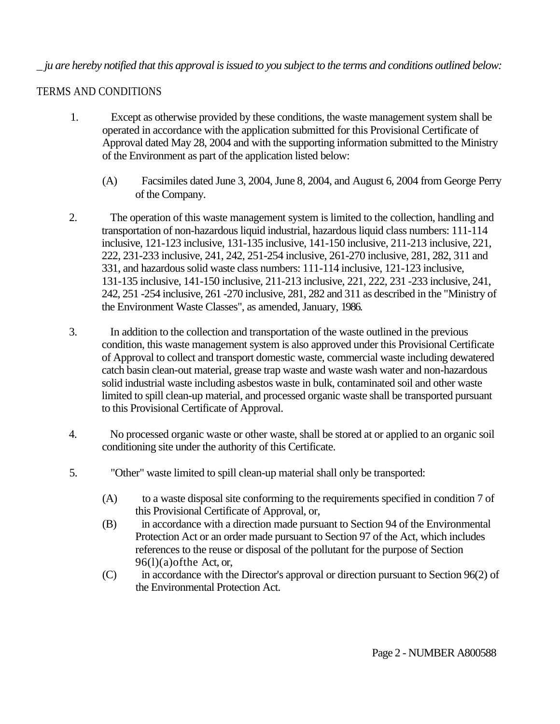# \_ *ju are hereby notified that this approval is issued to you subject to the terms and conditions outlined below:*

# TERMS AND CONDITIONS

- 1. Except as otherwise provided by these conditions, the waste management system shall be operated in accordance with the application submitted for this Provisional Certificate of Approval dated May 28, 2004 and with the supporting information submitted to the Ministry of the Environment as part of the application listed below:
	- (A) Facsimiles dated June 3, 2004, June 8, 2004, and August 6, 2004 from George Perry of the Company.
- 2. The operation of this waste management system is limited to the collection, handling and transportation of non-hazardous liquid industrial, hazardous liquid class numbers: 111-114 inclusive, 121-123 inclusive, 131-135 inclusive, 141-150 inclusive, 211-213 inclusive, 221, 222, 231-233 inclusive, 241, 242, 251-254 inclusive, 261-270 inclusive, 281, 282, 311 and 331, and hazardous solid waste class numbers: 111-114 inclusive, 121-123 inclusive, 131-135 inclusive, 141-150 inclusive, 211-213 inclusive, 221, 222, 231 -233 inclusive, 241, 242, 251 -254 inclusive, 261 -270 inclusive, 281, 282 and 311 as described in the "Ministry of the Environment Waste Classes", as amended, January, 1986.
- 3. In addition to the collection and transportation of the waste outlined in the previous condition, this waste management system is also approved under this Provisional Certificate of Approval to collect and transport domestic waste, commercial waste including dewatered catch basin clean-out material, grease trap waste and waste wash water and non-hazardous solid industrial waste including asbestos waste in bulk, contaminated soil and other waste limited to spill clean-up material, and processed organic waste shall be transported pursuant to this Provisional Certificate of Approval.
- 4. No processed organic waste or other waste, shall be stored at or applied to an organic soil conditioning site under the authority of this Certificate.
- 5. "Other" waste limited to spill clean-up material shall only be transported:
	- (A) to a waste disposal site conforming to the requirements specified in condition 7 of this Provisional Certificate of Approval, or,
	- (B) in accordance with a direction made pursuant to Section 94 of the Environmental Protection Act or an order made pursuant to Section 97 of the Act, which includes references to the reuse or disposal of the pollutant for the purpose of Section  $96(1)(a)$ of the Act, or,
	- (C) in accordance with the Director's approval or direction pursuant to Section 96(2) of the Environmental Protection Act.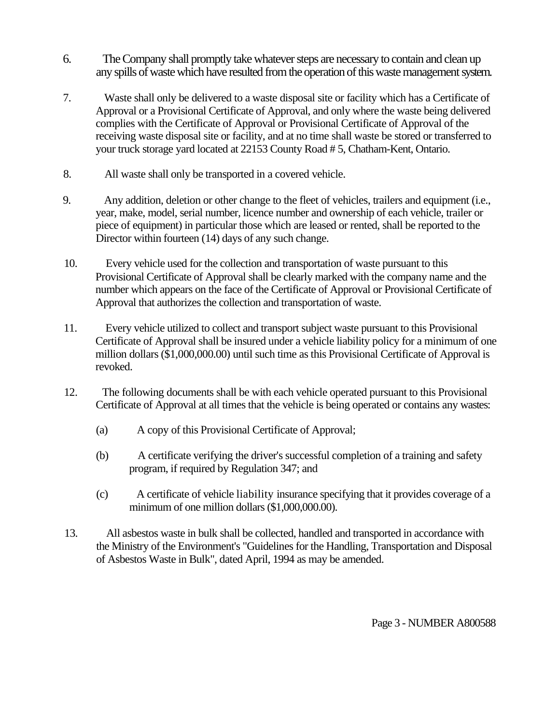- 6. The Company shall promptly take whatever steps are necessary to contain and clean up any spills of waste which have resulted from the operation of this waste management system.
- 7. Waste shall only be delivered to a waste disposal site or facility which has a Certificate of Approval or a Provisional Certificate of Approval, and only where the waste being delivered complies with the Certificate of Approval or Provisional Certificate of Approval of the receiving waste disposal site or facility, and at no time shall waste be stored or transferred to your truck storage yard located at 22153 County Road # 5, Chatham-Kent, Ontario.
- 8. All waste shall only be transported in a covered vehicle.
- 9. Any addition, deletion or other change to the fleet of vehicles, trailers and equipment (i.e., year, make, model, serial number, licence number and ownership of each vehicle, trailer or piece of equipment) in particular those which are leased or rented, shall be reported to the Director within fourteen (14) days of any such change.
- 10. Every vehicle used for the collection and transportation of waste pursuant to this Provisional Certificate of Approval shall be clearly marked with the company name and the number which appears on the face of the Certificate of Approval or Provisional Certificate of Approval that authorizes the collection and transportation of waste.
- 11. Every vehicle utilized to collect and transport subject waste pursuant to this Provisional Certificate of Approval shall be insured under a vehicle liability policy for a minimum of one million dollars (\$1,000,000.00) until such time as this Provisional Certificate of Approval is revoked.
- 12. The following documents shall be with each vehicle operated pursuant to this Provisional Certificate of Approval at all times that the vehicle is being operated or contains any wastes:
	- (a) A copy of this Provisional Certificate of Approval;
	- (b) A certificate verifying the driver's successful completion of a training and safety program, if required by Regulation 347; and
	- (c) A certificate of vehicle liability insurance specifying that it provides coverage of a minimum of one million dollars (\$1,000,000.00).
- 13. All asbestos waste in bulk shall be collected, handled and transported in accordance with the Ministry of the Environment's "Guidelines for the Handling, Transportation and Disposal of Asbestos Waste in Bulk", dated April, 1994 as may be amended.

Page 3 - NUMBER A800588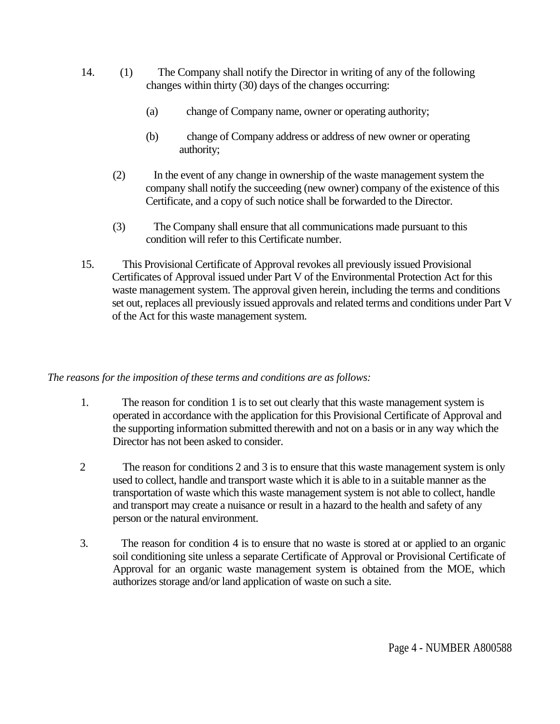- 14. (1) The Company shall notify the Director in writing of any of the following changes within thirty (30) days of the changes occurring:
	- (a) change of Company name, owner or operating authority;
	- (b) change of Company address or address of new owner or operating authority;
	- (2) In the event of any change in ownership of the waste management system the company shall notify the succeeding (new owner) company of the existence of this Certificate, and a copy of such notice shall be forwarded to the Director.
	- (3) The Company shall ensure that all communications made pursuant to this condition will refer to this Certificate number.
- 15. This Provisional Certificate of Approval revokes all previously issued Provisional Certificates of Approval issued under Part V of the Environmental Protection Act for this waste management system. The approval given herein, including the terms and conditions set out, replaces all previously issued approvals and related terms and conditions under Part V of the Act for this waste management system.

## *The reasons for the imposition of these terms and conditions are as follows:*

- 1. The reason for condition 1 is to set out clearly that this waste management system is operated in accordance with the application for this Provisional Certificate of Approval and the supporting information submitted therewith and not on a basis or in any way which the Director has not been asked to consider.
- 2 The reason for conditions 2 and 3 is to ensure that this waste management system is only used to collect, handle and transport waste which it is able to in a suitable manner as the transportation of waste which this waste management system is not able to collect, handle and transport may create a nuisance or result in a hazard to the health and safety of any person or the natural environment.
- 3. The reason for condition 4 is to ensure that no waste is stored at or applied to an organic soil conditioning site unless a separate Certificate of Approval or Provisional Certificate of Approval for an organic waste management system is obtained from the MOE, which authorizes storage and/or land application of waste on such a site.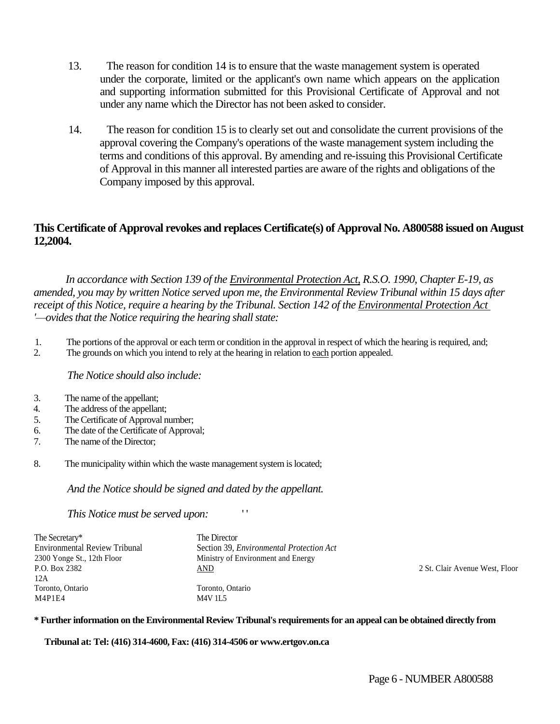- 13. The reason for condition 14 is to ensure that the waste management system is operated under the corporate, limited or the applicant's own name which appears on the application and supporting information submitted for this Provisional Certificate of Approval and not under any name which the Director has not been asked to consider.
- 14. The reason for condition 15 is to clearly set out and consolidate the current provisions of the approval covering the Company's operations of the waste management system including the terms and conditions of this approval. By amending and re-issuing this Provisional Certificate of Approval in this manner all interested parties are aware of the rights and obligations of the Company imposed by this approval.

## **This Certificate of Approval revokes and replaces Certificate(s) of Approval No. A800588 issued on August 12,2004.**

*In accordance with Section 139 of the Environmental Protection Act, R.S.O. 1990, Chapter E-19, as amended, you may by written Notice served upon me, the Environmental Review Tribunal within 15 days after receipt of this Notice, require a hearing by the Tribunal. Section 142 of the Environmental Protection Act '—ovides that the Notice requiring the hearing shall state:*

- 1. The portions of the approval or each term or condition in the approval in respect of which the hearing is required, and;
- 2. The grounds on which you intend to rely at the hearing in relation to each portion appealed.

#### *The Notice should also include:*

- 3. The name of the appellant;
- 4. The address of the appellant;
- 5. The Certificate of Approval number;
- 6. The date of the Certificate of Approval;
- 7. The name of the Director;
- 8. The municipality within which the waste management system is located;

*And the Notice should be signed and dated by the appellant.*

#### *This Notice must be served upon:* ' '

| The Secretary*                       | The Director                                    |                                |
|--------------------------------------|-------------------------------------------------|--------------------------------|
| <b>Environmental Review Tribunal</b> | Section 39, <i>Environmental Protection Act</i> |                                |
| 2300 Yonge St., 12th Floor           | Ministry of Environment and Energy              |                                |
| P.O. Box 2382                        | <u>AND</u>                                      | 2 St. Clair Avenue West, Floor |
| 12A                                  |                                                 |                                |
| Toronto, Ontario                     | Toronto, Ontario                                |                                |
| M4P1E4                               | <b>M4V 1L5</b>                                  |                                |

#### **\* Further information on the Environmental Review Tribunal's requirements for an appeal can be obtained directly from**

**Tribunal at: Tel: (416) 314-4600, Fax: (416) 314-4506 or www.ertgov.on.ca**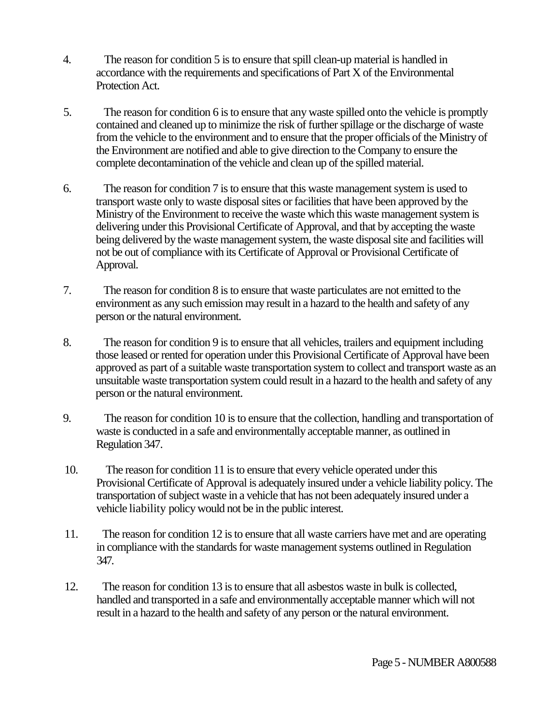- 4. The reason for condition 5 is to ensure that spill clean-up material is handled in accordance with the requirements and specifications of Part X of the Environmental Protection Act.
- 5. The reason for condition 6 is to ensure that any waste spilled onto the vehicle is promptly contained and cleaned up to minimize the risk of further spillage or the discharge of waste from the vehicle to the environment and to ensure that the proper officials of the Ministry of the Environment are notified and able to give direction to the Company to ensure the complete decontamination of the vehicle and clean up of the spilled material.
- 6. The reason for condition 7 is to ensure that this waste management system is used to transport waste only to waste disposal sites or facilities that have been approved by the Ministry of the Environment to receive the waste which this waste management system is delivering under this Provisional Certificate of Approval, and that by accepting the waste being delivered by the waste management system, the waste disposal site and facilities will not be out of compliance with its Certificate of Approval or Provisional Certificate of Approval.
- 7. The reason for condition 8 is to ensure that waste particulates are not emitted to the environment as any such emission may result in a hazard to the health and safety of any person or the natural environment.
- 8. The reason for condition 9 is to ensure that all vehicles, trailers and equipment including those leased or rented for operation under this Provisional Certificate of Approval have been approved as part of a suitable waste transportation system to collect and transport waste as an unsuitable waste transportation system could result in a hazard to the health and safety of any person or the natural environment.
- 9. The reason for condition 10 is to ensure that the collection, handling and transportation of waste is conducted in a safe and environmentally acceptable manner, as outlined in Regulation 347.
- 10. The reason for condition 11 is to ensure that every vehicle operated under this Provisional Certificate of Approval is adequately insured under a vehicle liability policy. The transportation of subject waste in a vehicle that has not been adequately insured under a vehicle liability policy would not be in the public interest.
- 11. The reason for condition 12 is to ensure that all waste carriers have met and are operating in compliance with the standards for waste management systems outlined in Regulation 347.
- 12. The reason for condition 13 is to ensure that all asbestos waste in bulk is collected, handled and transported in a safe and environmentally acceptable manner which will not result in a hazard to the health and safety of any person or the natural environment.